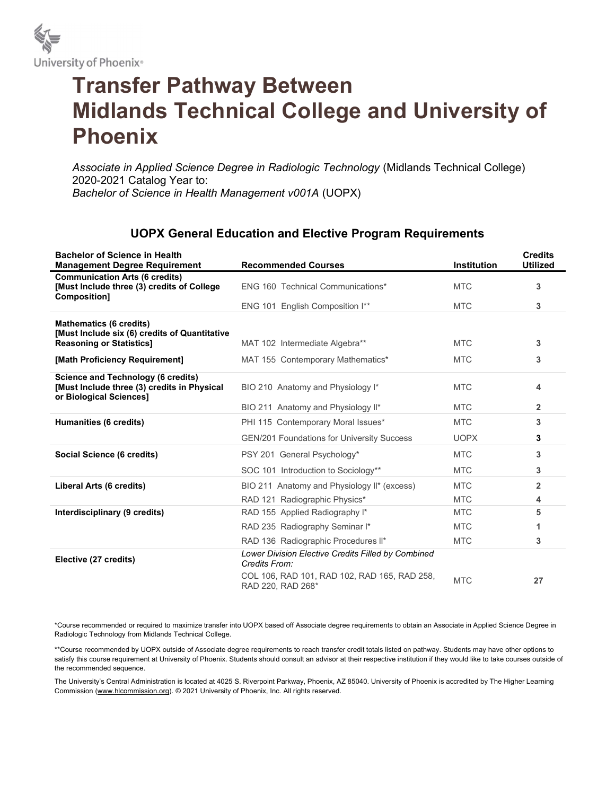

## Transfer Pathway Between Midlands Technical College and University of Phoenix

Associate in Applied Science Degree in Radiologic Technology (Midlands Technical College) 2020-2021 Catalog Year to: Bachelor of Science in Health Management v001A (UOPX)

## UOPX General Education and Elective Program Requirements

| <b>Bachelor of Science in Health</b><br><b>Management Degree Requirement</b>                                 | <b>Recommended Courses</b>                                          | <b>Institution</b> | <b>Credits</b><br><b>Utilized</b> |
|--------------------------------------------------------------------------------------------------------------|---------------------------------------------------------------------|--------------------|-----------------------------------|
| <b>Communication Arts (6 credits)</b><br>[Must Include three (3) credits of College<br>Composition]          | ENG 160 Technical Communications*                                   | <b>MTC</b>         | 3                                 |
|                                                                                                              | ENG 101 English Composition I**                                     | <b>MTC</b>         | 3                                 |
| <b>Mathematics (6 credits)</b>                                                                               |                                                                     |                    |                                   |
| [Must Include six (6) credits of Quantitative<br><b>Reasoning or Statistics1</b>                             | MAT 102 Intermediate Algebra**                                      | <b>MTC</b>         | 3                                 |
| [Math Proficiency Requirement]                                                                               | MAT 155 Contemporary Mathematics*                                   | <b>MTC</b>         | 3                                 |
| Science and Technology (6 credits)<br>[Must Include three (3) credits in Physical<br>or Biological Sciences] | BIO 210 Anatomy and Physiology I*                                   | <b>MTC</b>         | 4                                 |
|                                                                                                              | BIO 211 Anatomy and Physiology II*                                  | <b>MTC</b>         | $\overline{2}$                    |
| Humanities (6 credits)                                                                                       | PHI 115 Contemporary Moral Issues*                                  | <b>MTC</b>         | 3                                 |
|                                                                                                              | <b>GEN/201 Foundations for University Success</b>                   | <b>UOPX</b>        | 3                                 |
| Social Science (6 credits)                                                                                   | PSY 201 General Psychology*                                         | <b>MTC</b>         | 3                                 |
|                                                                                                              | SOC 101 Introduction to Sociology**                                 | <b>MTC</b>         | 3                                 |
| Liberal Arts (6 credits)                                                                                     | BIO 211 Anatomy and Physiology II* (excess)                         | <b>MTC</b>         | $\overline{2}$                    |
|                                                                                                              | RAD 121 Radiographic Physics*                                       | <b>MTC</b>         | 4                                 |
| Interdisciplinary (9 credits)                                                                                | RAD 155 Applied Radiography I*                                      | <b>MTC</b>         | 5                                 |
|                                                                                                              | RAD 235 Radiography Seminar I*                                      | <b>MTC</b>         | 1                                 |
|                                                                                                              | RAD 136 Radiographic Procedures II*                                 | <b>MTC</b>         | 3                                 |
| Elective (27 credits)                                                                                        | Lower Division Elective Credits Filled by Combined<br>Credits From: |                    |                                   |
|                                                                                                              | COL 106, RAD 101, RAD 102, RAD 165, RAD 258,<br>RAD 220, RAD 268*   | <b>MTC</b>         | 27                                |

\*Course recommended or required to maximize transfer into UOPX based off Associate degree requirements to obtain an Associate in Applied Science Degree in Radiologic Technology from Midlands Technical College.

\*\*Course recommended by UOPX outside of Associate degree requirements to reach transfer credit totals listed on pathway. Students may have other options to satisfy this course requirement at University of Phoenix. Students should consult an advisor at their respective institution if they would like to take courses outside of the recommended sequence.

The University's Central Administration is located at 4025 S. Riverpoint Parkway, Phoenix, AZ 85040. University of Phoenix is accredited by The Higher Learning Commission (www.hlcommission.org). © 2021 University of Phoenix, Inc. All rights reserved.